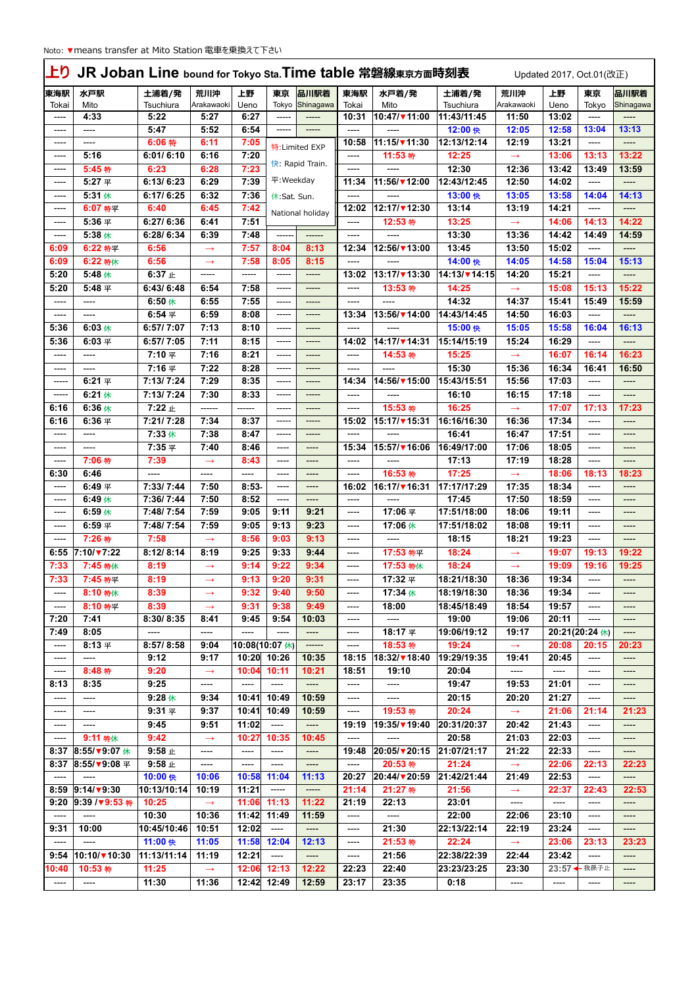| <b>LD</b><br>JR Joban Line bound for Tokyo Sta. Time table 常磐線東京方面時刻表<br>Updated 2017, Oct.01(改正) |                           |                        |                   |                |                                    |                       |               |                      |                                   |                        |            |                       |                   |
|---------------------------------------------------------------------------------------------------|---------------------------|------------------------|-------------------|----------------|------------------------------------|-----------------------|---------------|----------------------|-----------------------------------|------------------------|------------|-----------------------|-------------------|
| 東海駅<br>Tokai                                                                                      | 水戸駅<br>Mito               | 土浦着/発<br>Tsuchiura     | 荒川沖<br>Arakawaoki | 上野<br>Ueno     | 東京<br>Tokyo                        | 品川駅着<br>Shinagawa     | 東海駅<br>Tokai  | 水戸着/発<br>Mito        | 土浦着/発<br>Tsuchiura                | 荒川沖<br>Arakawaoki      | 上野<br>Ueno | 東京<br>Tokyo           | 品川駅着<br>Shinagawa |
| ----                                                                                              | 4:33                      | 5:22                   | 5:27              | 6:27           | -----                              | $-----$               | 10:31         | 10:47/▼11:00         | 11:43/11:45                       | 11:50                  | 13:02      | ----                  | ----              |
| ----                                                                                              | ----                      | 5:47                   | 5:52              | 6:54           | -----                              | -----                 | ----          | ----                 | 12:00 快                           | 12:05                  | 12:58      | 13:04                 | 13:13             |
| ----                                                                                              | ----                      | 6:06 特                 | 6:11              | 7:05           |                                    |                       | 10:58         | $11:15/\sqrt{11:30}$ | 12:13/12:14                       | 12:19                  | 13:21      | ----                  | $---$             |
| ----                                                                                              | 5:16                      | 6:01/6:10              | 6:16              | 7:20           |                                    | 特: Limited EXP        | ----          | 11:53 特              | 12:25                             | $\rightarrow$          | 13:06      | 13:13                 | 13:22             |
| ----                                                                                              | 5:45 特                    | 6:23                   | 6:28              | 7:23           |                                    | 快: Rapid Train.       | ----          |                      | 12:30                             | 12:36                  | 13:42      | 13:49                 | 13:59             |
| ----                                                                                              | 5:27 平                    | 6:13/6:23              | 6:29              | 7:39           | $\overline{\mathcal{F}}$ : Weekday |                       | 11:34         | 11:56/▼12:00         | 12:43/12:45                       | 12:50                  | 14:02      | ----                  | ----              |
|                                                                                                   | 5:31休                     | 6:17/6:25              | 6:32              | 7:36           |                                    |                       |               |                      | 13:00 快                           | 13:05                  | 13:58      | 14:04                 | 14:13             |
| ----                                                                                              | 6:07 特平                   | 6:40                   | 6:45              | 7:42           | 休:Sat. Sun.                        |                       | ----<br>12:02 | 12:17/▼12:30         | 13:14                             | 13:19                  | 14:21      | ----                  |                   |
| ----                                                                                              |                           |                        |                   |                |                                    | National holiday      |               |                      |                                   |                        |            |                       | ----              |
| ----                                                                                              | 5:36 平                    | 6:27/6:36              | 6:41              | 7:51           |                                    |                       | ----          | 12:53 特              | 13:25                             | $\rightarrow$          | 14:06      | 14:13                 | 14:22             |
| ----                                                                                              | 5:38 休                    | 6:28/6:34              | 6:39              | 7:48           |                                    | ------                | ----          |                      | 13:30                             | 13:36                  | 14:42      | 14:49                 | 14:59             |
| 6:09                                                                                              | 6:22 特平                   | 6:56                   | $\rightarrow$     | 7:57           | 8:04                               | 8:13                  | 12:34         | 12:56/▼13:00         | 13:45                             | 13:50                  | 15:02      | ----                  | ----              |
| 6:09                                                                                              | 6:22 特休                   | 6:56                   | $\rightarrow$     | 7:58           | 8:05                               | 8:15                  | ----          | ----                 | 14:00 快                           | 14:05                  | 14:58      | 15:04                 | 15:13             |
| 5:20                                                                                              | 5:48 休                    | 6:37 止                 | -----             | -----          | -----                              | -----                 | 13:02         | 13:17/▼13:30         | 14:13/ $\blacktriangledown$ 14:15 | 14:20                  | 15:21      | ----                  | ----              |
| 5:20                                                                                              | 5:48 平                    | 6:43/6:48              | 6:54              | 7:58           | -----                              | -----                 | ----          | 13:53 特              | 14:25                             | $\rightarrow$          | 15:08      | 15:13                 | 15:22             |
| ----                                                                                              | ----                      | $6:50$ 休               | 6:55              | 7:55           | -----                              | -----                 | ----          | $---$                | 14:32                             | 14:37                  | 15:41      | 15:49                 | 15:59             |
| ----                                                                                              | ----                      | 6:54 $#$               | 6:59              | 8:08           | -----                              | -----                 | 13:34         | $13:56/\sqrt{14:00}$ | 14:43/14:45                       | 14:50                  | 16:03      | ----                  | ----              |
| 5:36                                                                                              | $6:03$ 休                  | 6:57/7:07              | 7:13              | 8:10           | -----                              | -----                 | ----          |                      | 15:00 快                           | 15:05                  | 15:58      | 16:04                 | 16:13             |
| 5:36                                                                                              | 6:03 $#$                  | 6:57/7:05              | 7:11              | 8:15           | -----                              | $-----$               | 14:02         | 14:17/ 14:31         | 15:14/15:19                       | 15:24                  | 16:29      | ----                  | $---$             |
| ----                                                                                              | ----                      | 7:10 平                 | 7:16              | 8:21           | -----                              | -----                 | ----          | 14:53 特              | 15:25                             | $\longrightarrow$      | 16:07      | 16:14                 | 16:23             |
| ----                                                                                              | ----                      | 7:16 平                 | 7:22              | 8:28           | -----                              | -----                 | ----          | ----                 | 15:30                             | 15:36                  | 16:34      | 16:41                 | 16:50             |
| -----                                                                                             | 6:21 $\mathbb{R}$         | 7:13/7:24              | 7:29              | 8:35           | -----                              | -----                 | 14:34         | 14:56/▼15:00         | 15:43/15:51                       | 15:56                  | 17:03      | ----                  | $--- -$           |
| -----                                                                                             | $6:21$ 休                  | 7:13/7:24              | 7:30              | 8:33           | -----                              | -----                 | ----          | ----                 | 16:10                             | 16:15                  | 17:18      | ----                  | $--- -$           |
| 6:16                                                                                              | 6:36休                     | 7:22 止                 | ------            | ------         | -----                              | -----                 | ----          | 15:53 特              | 16:25                             |                        | 17:07      | 17:13                 | 17:23             |
| 6:16                                                                                              | 6:36 $#$                  | 7:21/7:28              | 7:34              | 8:37           | -----                              | -----                 |               | 15:17/▼15:31         | 16:16/16:30                       | $\rightarrow$<br>16:36 | 17:34      |                       |                   |
|                                                                                                   |                           |                        | 7:38              | 8:47           |                                    |                       | 15:02         |                      | 16:41                             | 16:47                  | 17:51      | ----                  | ----              |
| ----                                                                                              | ----                      | 7:33 休                 |                   |                | -----                              | -----                 | ----          | ----                 |                                   |                        |            | ----                  | ----              |
| ----                                                                                              | ----                      | 7:35 平                 | 7:40              | 8:46           | ----                               | ----                  | 15:34         | 15:57/▼16:06         | 16:49/17:00                       | 17:06                  | 18:05      | ----                  |                   |
| ----                                                                                              | 7:06 特                    | 7:39                   | $\rightarrow$     | 8:43           | ----                               | ----                  | ----          | ----                 | 17:13                             | 17:19                  | 18:28      | $---$                 | $---$             |
| 6:30                                                                                              | 6:46                      | ----                   | ----              | ----           | ----                               | ----                  | ----          | 16:53 特              | 17:25                             | $\rightarrow$          | 18:06      | 18:13                 | 18:23             |
| ----                                                                                              | 6:49 $\Psi$               | 7:33/7:44              | 7:50              | $8:53-$        | ----                               | ----                  | 16:02         | 16:17/▼16:31         | 17:17/17:29                       | 17:35                  | 18:34      | ----                  | ----              |
| ----                                                                                              | 6:49 $#$                  | 7:36/7:44              | 7:50              | 8:52           | ----                               | ----                  | ----          | ----                 | 17:45                             | 17:50                  | 18:59      | ----                  | $--- -$           |
| ----                                                                                              | 6:59 $#$                  | $\overline{7:}48/7:54$ | 7:59              | 9:05           | 9:11                               | 9:21                  | ----          | 17:06 平              | 17:51/18:00                       | 18:06                  | 19:11      | ----                  | ----              |
| ----                                                                                              | 6:59 $#$                  | 7:48/7:54              | 7:59              | 9:05           | 9:13                               | 9:23                  | ----          | 17:06休               | 17:51/18:02                       | 18:08                  | 19:11      | ----                  | ----              |
| ----                                                                                              | 7:26 特                    | 7:58                   | $\rightarrow$     | 8:56           | 9:03                               | 9:13                  | ----          | ----                 | 18:15                             | 18:21                  | 19:23      | ----                  | ----              |
| 6:55                                                                                              | $7:10/\sqrt{7}:22$        | 8:12/8:14              | 8:19              | 9:25           | 9:33                               | 9:44                  | ----          | 17:53 特平             | 18:24                             | $\longrightarrow$      | 19:07      | 19:13                 | 19:22             |
| 7:33                                                                                              | 7:45 特休                   | 8:19                   | $\longrightarrow$ | 9:14           | 9:22                               | 9:34                  | $---$         | 17:53 特休             | 18:24                             | $\longrightarrow$      | 19:09      | 19:16                 | 19:25             |
| 7:33                                                                                              | 7:45 特平                   | 8:19                   | $\longrightarrow$ | 9:13           | 9:20                               | 9:31                  | $---$         | 17:32 平              | 18:21/18:30                       | 18:36                  | 19:34      | ----                  | ----              |
| ----                                                                                              | 8:10 特休                   | 8:39                   | $\rightarrow$     | 9:32           | 9:40                               | 9:50                  | ----          | 17:34 休              | 18:19/18:30                       | 18:36                  | 19:34      | ----                  | ----              |
| ----                                                                                              | 8:10 特平                   | 8:39                   | $\rightarrow$     | 9:31           | 9:38                               | 9:49                  | $---$         | 18:00                | 18:45/18:49                       | 18:54                  | 19:57      | ----                  | ----              |
| 7:20                                                                                              | 7:41                      | 8:30/8:35              | 8:41              | 9:45           | 9:54                               | 10:03                 | $---$         | ----                 | 19:00                             | 19:06                  | 20:11      | $\qquad \qquad - - -$ | ----              |
| 7:49                                                                                              | 8:05                      | $---$                  | ----              | $  -$          | ----                               | ----                  | $\frac{1}{1}$ | 18:17 平              | 19:06/19:12                       | 19:17                  |            | 20:21(20:24 休)        | $---$             |
| ----                                                                                              | 8:13 $#$                  | 8:57/8:58              | 9:04              | 10:08(10:07 休) |                                    | -------               | $---$         | 18:53 特              | 19:24                             | $\rightarrow$          | 20:08      | 20:15                 | 20:23             |
| ----                                                                                              | ----                      | 9:12                   | 9:17              |                | 10:20 10:26                        | 10:35                 | 18:15         | 18:32/▼18:40         | 19:29/19:35                       | 19:41                  | 20:45      | ----                  | ----              |
| ----                                                                                              | 8:48 特                    | 9:20                   | $\rightarrow$     | 10:04          | 10:11                              | 10:21                 | 18:51         | 19:10                | 20:04                             | $---$                  | ----       | ----                  | ----              |
| 8:13                                                                                              | 8:35                      | 9:25                   | ----              | ----           | $---$                              | $---$                 | $---$         | ----                 | 19:47                             | 19:53                  | 21:01      | $\qquad \qquad - - -$ | $---$             |
| ----                                                                                              | ----                      | $9:28$ 休               | 9:34              | 10:41          | 10:49                              | 10:59                 | ----          | ----                 | 20:15                             | 20:20                  | 21:27      | ----                  | $---$             |
| ----                                                                                              | ----                      | $9:31$ $\Psi$          | 9:37              | 10:41          | 10:49                              | 10:59                 | $---$         | 19:53 特              | 20:24                             | $\rightarrow$          | 21:06      | 21:14                 | 21:23             |
| ----                                                                                              | ----                      | 9:45                   | 9:51              | 11:02          | $-----$                            | ----                  | 19:19         | 19:35/▼19:40         | 20:31/20:37                       | 20:42                  | 21:43      | ----                  | ----              |
| ----                                                                                              | 9:11 特休                   | 9:42                   | $\rightarrow$     | 10:27          | 10:35                              | 10:45                 | ----          | ----                 | 20:58                             | 21:03                  | 22:03      | $---$                 | ----              |
| 8:37                                                                                              | 8:55/ $\sqrt{9:07}$ 休     | $9:58$ $\pm$           | ----              | ----           | ----                               | ----                  | 19:48         | 20:05/▼20:15         | 21:07/21:17                       | 21:22                  | 22:33      | ----                  | ----              |
| 8:37                                                                                              | $8:55/\sqrt{9}:08 \times$ | $9:58$ $\pm$           |                   | ----           |                                    |                       | $---$         | 20:53 特              | 21:24                             |                        | 22:06      | 22:13                 | 22:23             |
|                                                                                                   | ----                      | 10:00 快                | ----<br>10:06     | 10:58          | $---$<br>11:04                     | ----<br>11:13         | 20:27         | 20:44/▼20:59         | 21:42/21:44                       | $\rightarrow$          | 22:53      |                       |                   |
| ----                                                                                              |                           |                        |                   | 11:21          |                                    |                       |               | 21:27 特              | 21:56                             | 21:49                  |            | ----<br>22:43         | ----              |
|                                                                                                   | 8:59 9:14/ $\sqrt{9}$ :30 | 10:13/10:14            | 10:19             |                | -----                              | -----                 | 21:14         |                      |                                   | $\longrightarrow$      | 22:37      |                       | 22:53             |
|                                                                                                   | 9:20 9:39 /▼9:53 特        | 10:25                  | $\rightarrow$     | $11:06$ 11:13  |                                    | 11:22                 | 21:19         | 22:13                | 23:01                             | $---$                  | $---$      | $---$                 | ----              |
| ----                                                                                              | ----                      | 10:30                  | 10:36             | $11:42$ 11:49  |                                    | 11:59                 | $---$         | ----                 | 22:00                             | 22:06                  | 23:10      | ----                  | ----              |
| 9:31                                                                                              | 10:00                     | 10:45/10:46            | 10:51             | 12:02          | $---$                              | $\qquad \qquad - - -$ | ----          | 21:30                | 22:13/22:14                       | 22:19                  | 23:24      | ----                  | ----              |
| ----                                                                                              | $---$                     | 11:00 快                | 11:05             |                | $11:58$ 12:04                      | 12:13                 | ----          | 21:53 特              | 22:24                             | $\rightarrow$          | 23:06      | 23:13                 | 23:23             |
| 9:54                                                                                              | $10:10/\sqrt{10:30}$      | 11:13/11:14            | 11:19             | 12:21          | $---$                              | ----                  | ----          | 21:56                | 22:38/22:39                       | 22:44                  | 23:42      | ----                  | $---$             |
| 10:40                                                                                             | 10:53 特                   | 11:25                  | $\longrightarrow$ |                | 12:06 12:13                        | 12:22                 | 22:23         | 22:40                | 23:23/23:25                       | 23:30                  |            | 23:57 ← 我孫子止          | ----              |
| ----                                                                                              | $---$                     | 11:30                  | 11:36             |                | 12:42 12:49                        | 12:59                 | 23:17         | 23:35                | 0:18                              | ----                   | ----       | ----                  | ----              |